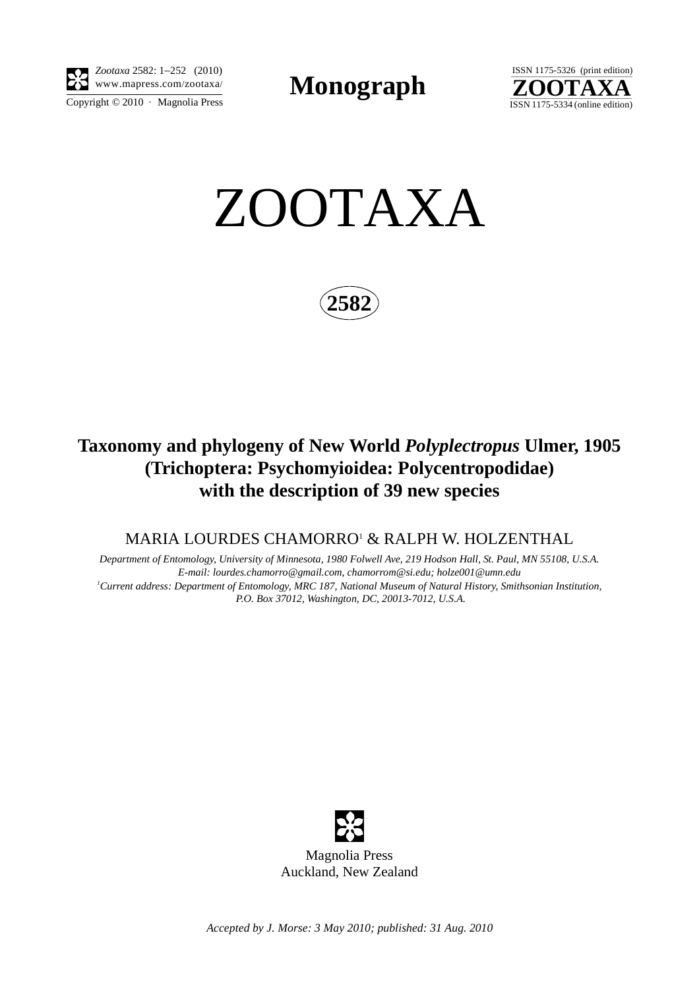

*Zootaxa* 2582: 1–252 (2010) www.mapress.com/zootaxa/ **Monograph**



ZOOTAXA



# **Taxonomy and phylogeny of New World** *Polyplectropus* **Ulmer, 1905 (Trichoptera: Psychomyioidea: Polycentropodidae) with the description of 39 new species**

MARIA LOURDES CHAMORRO' & RALPH W. HOLZENTHAL

*Department of Entomology, University of Minnesota, 1980 Folwell Ave, 219 Hodson Hall, St. Paul, MN 55108, U.S.A. E-mail: lourdes.chamorro@gmail.com, chamorrom@si.edu; holze001@umn.edu 1 Current address: Department of Entomology, MRC 187, National Museum of Natural History, Smithsonian Institution, P.O. Box 37012, Washington, DC, 20013-7012, U.S.A.*



Magnolia Press Auckland, New Zealand

*Accepted by J. Morse: 3 May 2010; published: 31 Aug. 2010*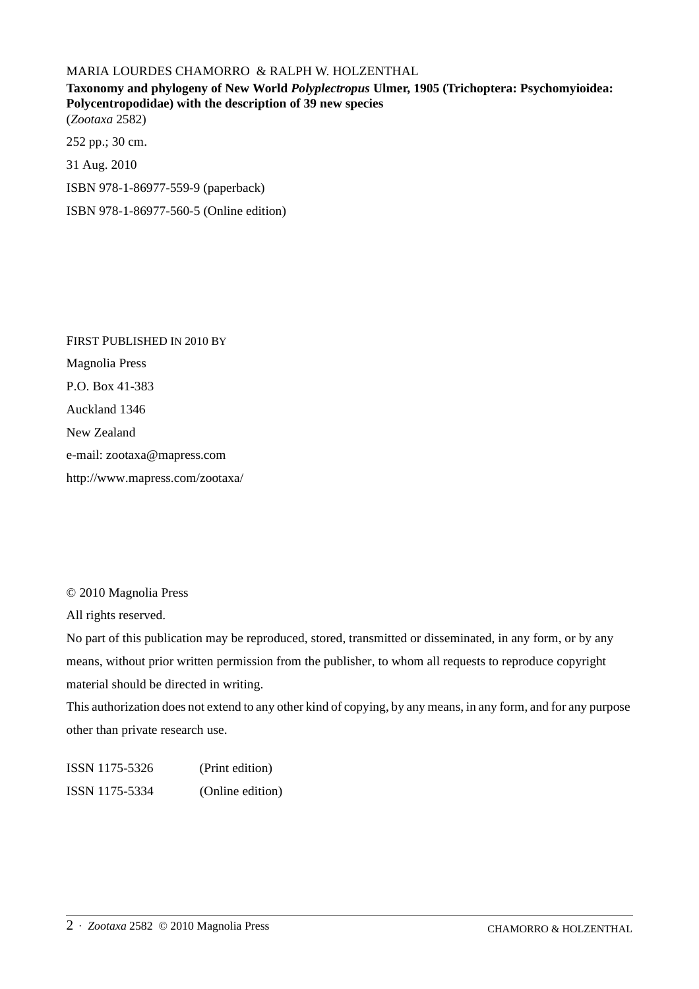### MARIA LOURDES CHAMORRO & RALPH W. HOLZENTHAL

## **Taxonomy and phylogeny of New World** *Polyplectropus* **Ulmer, 1905 (Trichoptera: Psychomyioidea: Polycentropodidae) with the description of 39 new species** (*Zootaxa* 2582)

252 pp.; 30 cm. 31 Aug. 2010 ISBN 978-1-86977-559-9 (paperback) ISBN 978-1-86977-560-5 (Online edition)

FIRST PUBLISHED IN 2010 BY Magnolia Press P.O. Box 41-383 Auckland 1346 New Zealand e-mail: zootaxa@mapress.com http://www.mapress.com/zootaxa/

© 2010 Magnolia Press

All rights reserved.

No part of this publication may be reproduced, stored, transmitted or disseminated, in any form, or by any means, without prior written permission from the publisher, to whom all requests to reproduce copyright material should be directed in writing.

This authorization does not extend to any other kind of copying, by any means, in any form, and for any purpose other than private research use.

ISSN 1175-5326 (Print edition) ISSN 1175-5334 (Online edition)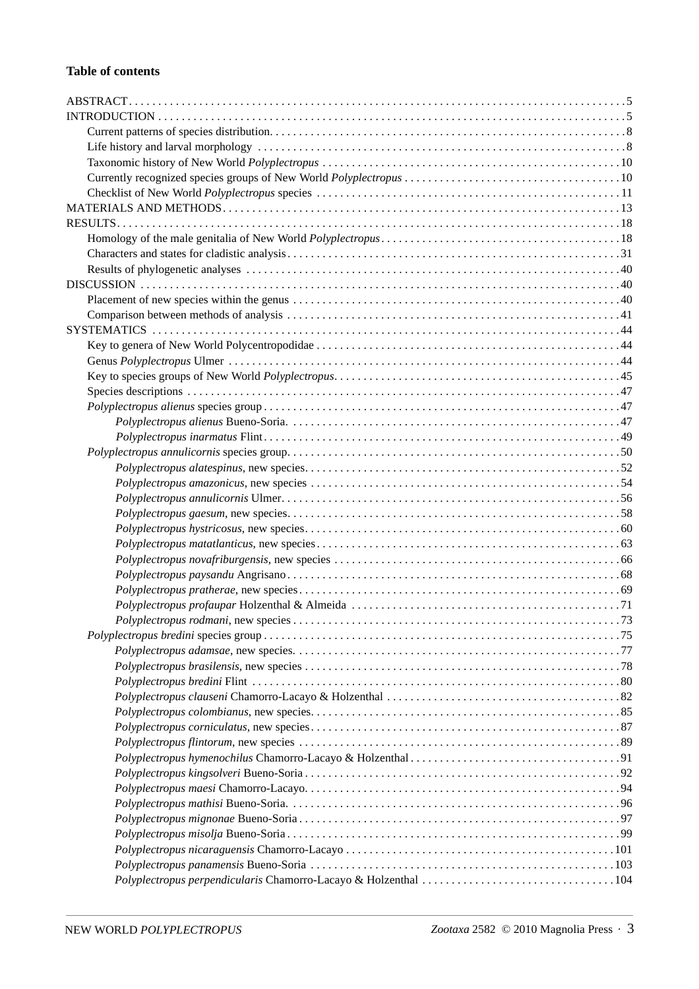#### **Table of contents**